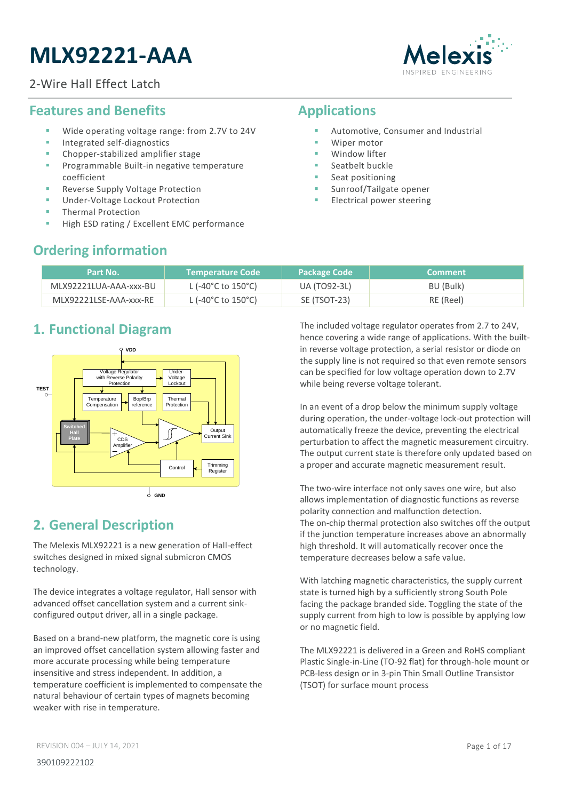# **MLX92221-AAA**

#### 2-Wire Hall Effect Latch



### <span id="page-0-0"></span>**Features and Benefits**

- Wide operating voltage range: from 2.7V to 24V
- Integrated self-diagnostics
- Chopper-stabilized amplifier stage
- Programmable Built-in negative temperature coefficient
- Reverse Supply Voltage Protection
- Under-Voltage Lockout Protection
- **Thermal Protection**
- High ESD rating / Excellent EMC performance

### <span id="page-0-1"></span>**Applications**

- Automotive, Consumer and Industrial
- Winer motor
- Window lifter
- Seatbelt buckle
- Seat positioning
- Sunroof/Tailgate opener
- **Electrical power steering**

## <span id="page-0-2"></span>**Ordering information**

| Part No.               | l Temperature Code '                     | <b>Package Code</b> | <b>Comment</b> |
|------------------------|------------------------------------------|---------------------|----------------|
| MLX92221LUA-AAA-xxx-BU | L (-40 $^{\circ}$ C to 150 $^{\circ}$ C) | UA (TO92-3L)        | BU (Bulk)      |
| MLX92221LSE-AAA-xxx-RE | L (-40°C to 150°C)                       | SE (TSOT-23)        | RE (Reel)      |

### <span id="page-0-3"></span>**1. Functional Diagram**



## <span id="page-0-4"></span>**2. General Description**

The Melexis MLX92221 is a new generation of Hall-effect switches designed in mixed signal submicron CMOS technology.

The device integrates a voltage regulator, Hall sensor with advanced offset cancellation system and a current sinkconfigured output driver, all in a single package.

Based on a brand-new platform, the magnetic core is using an improved offset cancellation system allowing faster and more accurate processing while being temperature insensitive and stress independent. In addition, a temperature coefficient is implemented to compensate the natural behaviour of certain types of magnets becoming weaker with rise in temperature.

The included voltage regulator operates from 2.7 to 24V, hence covering a wide range of applications. With the builtin reverse voltage protection, a serial resistor or diode on the supply line is not required so that even remote sensors can be specified for low voltage operation down to 2.7V while being reverse voltage tolerant.

In an event of a drop below the minimum supply voltage during operation, the under-voltage lock-out protection will automatically freeze the device, preventing the electrical perturbation to affect the magnetic measurement circuitry. The output current state is therefore only updated based on a proper and accurate magnetic measurement result.

The two-wire interface not only saves one wire, but also allows implementation of diagnostic functions as reverse polarity connection and malfunction detection. The on-chip thermal protection also switches off the output if the junction temperature increases above an abnormally high threshold. It will automatically recover once the temperature decreases below a safe value.

With latching magnetic characteristics, the supply current state is turned high by a sufficiently strong South Pole facing the package branded side. Toggling the state of the supply current from high to low is possible by applying low or no magnetic field.

The MLX92221 is delivered in a Green and RoHS compliant Plastic Single-in-Line (TO-92 flat) for through-hole mount or PCB-less design or in 3-pin Thin Small Outline Transistor (TSOT) for surface mount process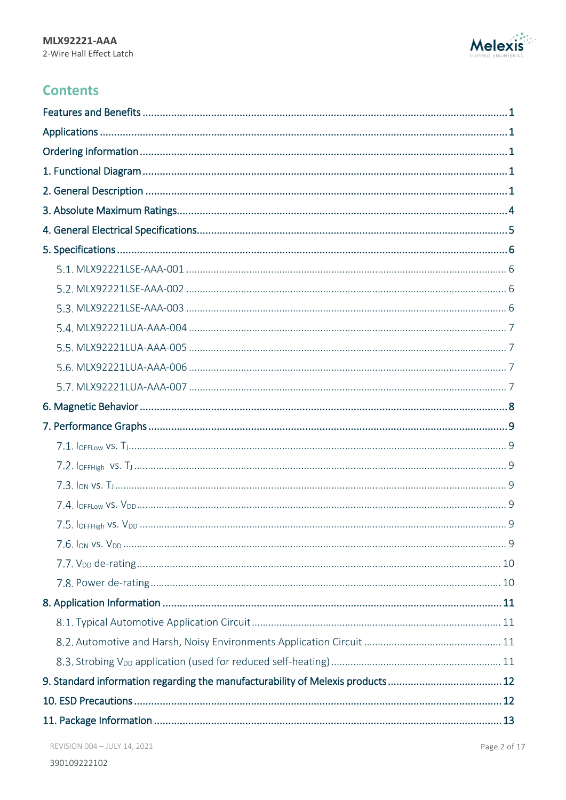

## **Contents**

| 9. Standard information regarding the manufacturability of Melexis products12 |  |
|-------------------------------------------------------------------------------|--|
|                                                                               |  |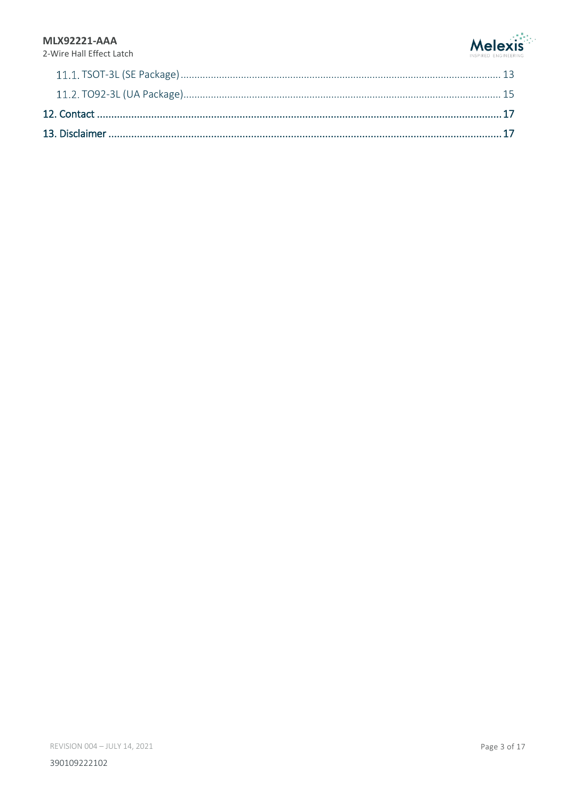#### **MLX92221-AAA**



2-Wire Hall Effect Latch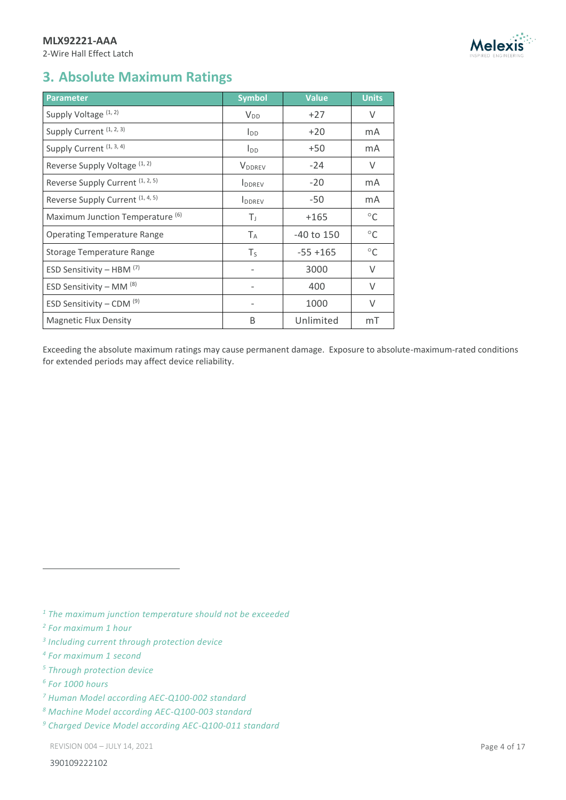#### **MLX92221-AAA**

2-Wire Hall Effect Latch



### <span id="page-3-0"></span>**3. Absolute Maximum Ratings**

<span id="page-3-4"></span><span id="page-3-3"></span><span id="page-3-2"></span><span id="page-3-1"></span>

| <b>Parameter</b>                            | <b>Symbol</b>             | <b>Value</b>   | <b>Units</b> |
|---------------------------------------------|---------------------------|----------------|--------------|
| Supply Voltage (1, 2)                       | $V_{DD}$                  | $+27$          | V            |
| Supply Current (1, 2, 3)                    | $I_{DD}$                  | $+20$          | mA           |
| Supply Current (1, 3, 4)                    | <b>I</b> <sub>DD</sub>    | $+50$          | mA           |
| Reverse Supply Voltage (1, 2)               | <b>V</b> <sub>DDREV</sub> | $-24$          | V            |
| Reverse Supply Current (1, 2, 5)            | <b>I</b> DDREV            | $-20$          | mA           |
| Reverse Supply Current (1, 4, 5)            | <b>I</b> DDREV            | $-50$          | mA           |
| Maximum Junction Temperature <sup>(6)</sup> | T,                        | $+165$         | $^{\circ}$ C |
| <b>Operating Temperature Range</b>          | $T_A$                     | $-40$ to $150$ | $^{\circ}$ C |
| <b>Storage Temperature Range</b>            | $T_S$                     | $-55 + 165$    | $^{\circ}$ C |
| ESD Sensitivity - HBM $(7)$                 |                           | 3000           | V            |
| ESD Sensitivity – MM $(8)$                  |                           | 400            | V            |
| ESD Sensitivity - CDM $(9)$                 |                           | 1000           | $\vee$       |
| <b>Magnetic Flux Density</b>                | B                         | Unlimited      | mT           |

Exceeding the absolute maximum ratings may cause permanent damage. Exposure to absolute-maximum-rated conditions for extended periods may affect device reliability.

*<sup>1</sup> The maximum junction temperature should not be exceeded*

- *2 For maximum 1 hour*
- *3 Including current through protection device*
- *4 For maximum 1 second*
- *<sup>5</sup> Through protection device*
- *6 For 1000 hours*

<sup>-</sup>

- *<sup>7</sup> Human Model according AEC-Q100-002 standard*
- *<sup>8</sup> Machine Model according AEC-Q100-003 standard*
- *<sup>9</sup> Charged Device Model according AEC-Q100-011 standard*

REVISION 004 – JULY 14, 2021 Page 4 of 17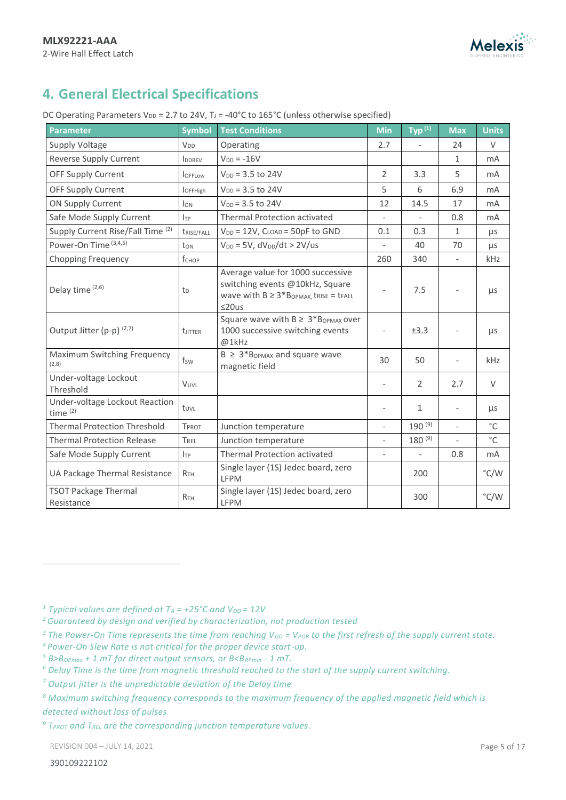

## <span id="page-4-0"></span>**4. General Electrical Specifications**

| DC Operating Parameters $V_{DD} = 2.7$ to 24V, T <sub>J</sub> = -40°C to 165°C (unless otherwise specified) |  |
|-------------------------------------------------------------------------------------------------------------|--|
|-------------------------------------------------------------------------------------------------------------|--|

| <b>Parameter</b>                             | <b>Symbol</b>          | <b>Test Conditions</b>                                                                                                         | <b>Min</b>               | Typ <sup>(1)</sup>       | <b>Max</b>               | <b>Units</b>  |
|----------------------------------------------|------------------------|--------------------------------------------------------------------------------------------------------------------------------|--------------------------|--------------------------|--------------------------|---------------|
| <b>Supply Voltage</b>                        | V <sub>DD</sub>        | Operating                                                                                                                      | 2.7                      |                          | 24                       | $\vee$        |
| Reverse Supply Current                       | <b>IDDREV</b>          | $V_{DD} = -16V$                                                                                                                |                          |                          | 1                        | <b>mA</b>     |
| OFF Supply Current                           | <b>OFFLOW</b>          | $V_{DD} = 3.5$ to 24V                                                                                                          | 2                        | 3.3                      | 5                        | <b>mA</b>     |
| <b>OFF Supply Current</b>                    | <b>l</b> OFFHigh       | $V_{DD} = 3.5$ to 24V                                                                                                          | 5                        | 6                        | 6.9                      | mA            |
| <b>ON Supply Current</b>                     | <b>J</b> <sub>ON</sub> | $V_{DD} = 3.5$ to 24V                                                                                                          | 12                       | 14.5                     | 17                       | <b>mA</b>     |
| Safe Mode Supply Current                     | $I_{TP}$               | Thermal Protection activated                                                                                                   |                          |                          | 0.8                      | <b>mA</b>     |
| Supply Current Rise/Fall Time (2)            | trise/fall             | $V_{DD} = 12V$ , $C_{LOAD} = 50pF$ to GND                                                                                      | 0.1                      | 0.3                      | 1                        | μs            |
| Power-On Time (3,4,5)                        | ton                    | $V_{DD} = 5V$ , $dV_{DD}/dt > 2V/us$                                                                                           | $\overline{a}$           | 40                       | 70                       | μs            |
| <b>Chopping Frequency</b>                    | fchop                  |                                                                                                                                | 260                      | 340                      | $\overline{\phantom{a}}$ | kHz           |
| Delay time (2,6)                             | $t_{D}$                | Average value for 1000 successive<br>switching events @10kHz, Square<br>wave with $B \ge 3*B_{OPMAX}$ , trise = trall<br>≤20us | $\overline{\phantom{a}}$ | 7.5                      |                          | μs            |
| Output Jitter (p-p) (2,7)                    | <b>t</b> JITTER        | Square wave with $B \geq 3*B_{OPMAX}$ over<br>1000 successive switching events<br>@1kHz                                        | $\overline{\phantom{a}}$ | ±3.3                     |                          | μs            |
| Maximum Switching Frequency<br>(2,8)         | $f_{SW}$               | $B \geq 3*B$ <sub>OPMAX</sub> and square wave<br>magnetic field                                                                | 30                       | 50                       |                          | kHz           |
| Under-voltage Lockout<br>Threshold           | VUVL                   |                                                                                                                                | $\overline{\phantom{a}}$ | $\overline{2}$           | 2.7                      | $\vee$        |
| Under-voltage Lockout Reaction<br>time $(2)$ | tuvL                   |                                                                                                                                |                          | $\mathbf{1}$             | $\bar{\phantom{a}}$      | μs            |
| <b>Thermal Protection Threshold</b>          | <b>TPROT</b>           | Junction temperature                                                                                                           | $\overline{a}$           | $190^{(9)}$              | $\overline{a}$           | $^{\circ}$ C  |
| <b>Thermal Protection Release</b>            | TREL                   | Junction temperature                                                                                                           | $\bar{\phantom{a}}$      | $180^{(9)}$              | $\frac{1}{2}$            | $^{\circ}$ C  |
| Safe Mode Supply Current                     | $I_{TP}$               | Thermal Protection activated                                                                                                   | $\overline{\phantom{a}}$ | $\overline{\phantom{0}}$ | 0.8                      | mA            |
| UA Package Thermal Resistance                | R <sub>TH</sub>        | Single layer (1S) Jedec board, zero<br>LFPM                                                                                    |                          | 200                      |                          | $\degree$ C/W |
| <b>TSOT Package Thermal</b><br>Resistance    | <b>R</b> <sub>TH</sub> | Single layer (1S) Jedec board, zero<br><b>LFPM</b>                                                                             |                          | 300                      |                          | $\degree$ C/W |

<sup>1</sup> *Typical values are defined at*  $T_A$  = +25°C and  $V_{DD}$  = 12V

<sup>3</sup> The Power-On Time represents the time from reaching V<sub>DD</sub> = V<sub>POR</sub> to the first refresh of the supply current state.

*<sup>9</sup> TPROT and TREL are the corresponding junction temperature values*.

REVISION 004 – JULY 14, 2021 Page 5 of 17

<sup>-</sup>

*<sup>2</sup> Guaranteed by design and verified by characterization, not production tested*

*<sup>4</sup> Power-On Slew Rate is not critical for the proper device start-up.*

*<sup>5</sup> B>BOPmax + 1 mT for direct output sensors, or B<BRPmin - 1 mT.*

*<sup>6</sup> Delay Time is the time from magnetic threshold reached to the start of the supply current switching.*

*<sup>7</sup> Output jitter is the unpredictable deviation of the Delay time*

*<sup>8</sup> Maximum switching frequency corresponds to the maximum frequency of the applied magnetic field which is detected without loss of pulses*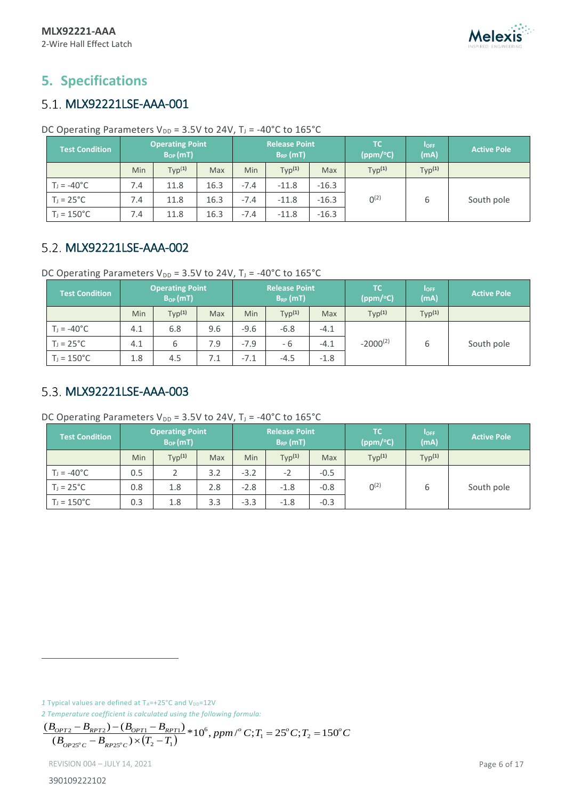

## <span id="page-5-0"></span>**5. Specifications**

### <span id="page-5-1"></span>5.1. MLX92221LSE-AAA-001

| DC Operating Parameters $V_{DD}$ = 3.5V to 24V, T <sub>J</sub> = -40°C to 165°C |  |  |
|---------------------------------------------------------------------------------|--|--|
|---------------------------------------------------------------------------------|--|--|

| <b>Test Condition</b> | <b>Operating Point</b><br><b>Release Point</b><br>$B_{OP}(mT)$<br>$B_{RP}$ (mT) |                    |      |            | TC.<br>(ppm/°C)    | $I_{OFF}$<br>(mA) | <b>Active Pole</b> |                    |            |
|-----------------------|---------------------------------------------------------------------------------|--------------------|------|------------|--------------------|-------------------|--------------------|--------------------|------------|
|                       | Min                                                                             | Typ <sup>(1)</sup> | Max  | <b>Min</b> | Typ <sup>(1)</sup> | Max               | Typ <sup>(1)</sup> | Typ <sup>(1)</sup> |            |
| $T_1 = -40^{\circ}C$  | 7.4                                                                             | 11.8               | 16.3 | $-7.4$     | $-11.8$            | $-16.3$           |                    |                    |            |
| $T_J = 25^{\circ}C$   | 7.4                                                                             | 11.8               | 16.3 | $-7.4$     | $-11.8$            | $-16.3$           | $0^{(2)}$          | 6                  | South pole |
| $T_1 = 150^{\circ}C$  | 7.4                                                                             | 11.8               | 16.3 | $-7.4$     | $-11.8$            | $-16.3$           |                    |                    |            |

### <span id="page-5-2"></span>5.2. MLX92221LSE-AAA-002

DC Operating Parameters  $V_{DD} = 3.5V$  to 24V, T<sub>J</sub> = -40°C to 165°C

| Test Condition       | <b>Operating Point</b><br>$B_{OP}(mT)$ |                    |     | <b>Release Point</b><br>$B_{RP}$ (mT) |                    |        |                    | 'TC<br>(ppm/°C)    | $I_{OFF}$<br>(mA) | <b>Active Pole</b> |
|----------------------|----------------------------------------|--------------------|-----|---------------------------------------|--------------------|--------|--------------------|--------------------|-------------------|--------------------|
|                      | Min                                    | Typ <sup>(1)</sup> | Max | Min                                   | Typ <sup>(1)</sup> | Max    | Typ <sup>(1)</sup> | Typ <sup>(1)</sup> |                   |                    |
| $T_1 = -40^{\circ}C$ | 4.1                                    | 6.8                | 9.6 | $-9.6$                                | $-6.8$             | $-4.1$ |                    |                    |                   |                    |
| $T_1 = 25^{\circ}C$  | 4.1                                    | 6                  | 7.9 | $-7.9$                                | - 6                | $-4.1$ | $-2000^{(2)}$      | ь                  | South pole        |                    |
| $T_J = 150^{\circ}C$ | 1.8                                    | 4.5                | 7.1 | $-7.1$                                | $-4.5$             | $-1.8$ |                    |                    |                   |                    |

### <span id="page-5-3"></span>5.3. MLX92221LSE-AAA-003

DC Operating Parameters  $V_{DD} = 3.5V$  to 24V, T<sub>J</sub> = -40°C to 165°C

| <b>Test Condition</b> | <b>Operating Point</b><br><b>Release Point</b><br>$B_{OP}(mT)$<br>$B_{RP}$ (mT) |                    |     |        | TC.<br>(ppm/°C)    | $I_{OFF}$<br>(mA) | <b>Active Pole</b> |                    |  |  |            |
|-----------------------|---------------------------------------------------------------------------------|--------------------|-----|--------|--------------------|-------------------|--------------------|--------------------|--|--|------------|
|                       | Min                                                                             | Typ <sup>(1)</sup> | Max | Min    | Typ <sup>(1)</sup> | Max               | Typ <sup>(1)</sup> | Typ <sup>(1)</sup> |  |  |            |
| $T_1 = -40^{\circ}C$  | 0.5                                                                             |                    | 3.2 | $-3.2$ | $-2$               | $-0.5$            |                    |                    |  |  |            |
| $T_J = 25^{\circ}C$   | 0.8                                                                             | 1.8                | 2.8 | $-2.8$ | $-1.8$             | $-0.8$            | $0^{(2)}$          | 6                  |  |  | South pole |
| $T_J = 150^{\circ}C$  | 0.3                                                                             | 1.8                | 3.3 | $-3.3$ | $-1.8$             | $-0.3$            |                    |                    |  |  |            |

1 Typical values are defined at T<sub>A</sub>=+25°C and V<sub>DD</sub>=12V

*2 Temperature coefficient is calculated using the following formula:* 

$$
\frac{(B_{OPT2} - B_{RPT2}) - (B_{OPT1} - B_{RPT1})}{(B_{OP25°C} - B_{RP25°C}) \times (T_2 - T_1)} * 10^6, ppm/^{\circ} C; T_1 = 25^{\circ} C; T_2 = 150^{\circ} C
$$

REVISION 004 – JULY 14, 2021 Page 6 of 17

 $\overline{a}$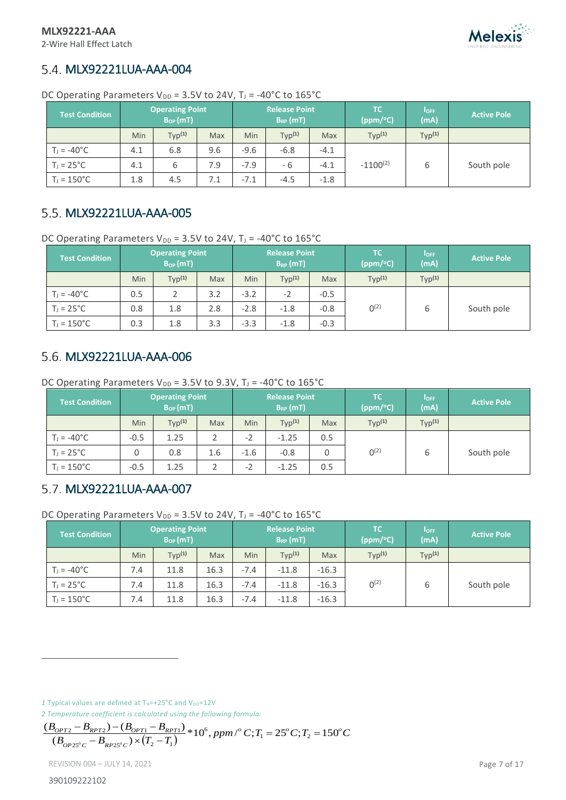### <span id="page-6-0"></span>5.4. MLX92221LUA-AAA-004

| <b>Test Condition</b> |            | <b>Operating Point</b><br><b>Release Point</b><br>$B_{OP}(mT)$<br>$B_{RP}$ (mT) |     |        |                    | TC.<br>(ppm/°C) | $I_{OFF}$<br>(mA)  | <b>Active Pole</b> |            |
|-----------------------|------------|---------------------------------------------------------------------------------|-----|--------|--------------------|-----------------|--------------------|--------------------|------------|
|                       | <b>Min</b> | Typ <sup>(1)</sup>                                                              | Max | Min    | Typ <sup>(1)</sup> | Max             | Typ <sup>(1)</sup> | Typ <sup>(1)</sup> |            |
| $T_1 = -40^{\circ}C$  | 4.1        | 6.8                                                                             | 9.6 | $-9.6$ | $-6.8$             | $-4.1$          |                    |                    |            |
| $T_1 = 25^{\circ}C$   | 4.1        | 6                                                                               | 7.9 | $-7.9$ | - 6                | $-4.1$          | $-1100^{(2)}$      | 6                  | South pole |
| $T_J = 150^{\circ}C$  | 1.8        | 4.5                                                                             | 7.1 | $-7.1$ | $-4.5$             | $-1.8$          |                    |                    |            |

DC Operating Parameters  $V_{DD} = 3.5V$  to 24V, T<sub>J</sub> = -40°C to 165°C

### <span id="page-6-1"></span>5.5. MLX92221LUA-AAA-005

DC Operating Parameters  $V_{DD} = 3.5V$  to 24V, T<sub>J</sub> = -40°C to 165°C

| <b>Test Condition</b> |            | <b>Operating Point</b><br>$B_{OP}(mT)$ |            |            | <b>Release Point</b><br>$B_{RP}$ (mT) |        | TC.<br>(ppm/°C)    | $I_{OFF}$<br>(mA)  | <b>Active Pole</b> |
|-----------------------|------------|----------------------------------------|------------|------------|---------------------------------------|--------|--------------------|--------------------|--------------------|
|                       | <b>Min</b> | Typ <sup>(1)</sup>                     | <b>Max</b> | <b>Min</b> | Typ <sup>(1)</sup>                    | Max    | Typ <sup>(1)</sup> | Typ <sup>(1)</sup> |                    |
| $T_1 = -40^{\circ}C$  | 0.5        |                                        | 3.2        | $-3.2$     | $-2$                                  | $-0.5$ |                    |                    |                    |
| $T_J = 25^{\circ}C$   | 0.8        | 1.8                                    | 2.8        | $-2.8$     | $-1.8$                                | $-0.8$ | $0^{(2)}$          | b                  | South pole         |
| $T_J = 150^{\circ}C$  | 0.3        | 1.8                                    | 3.3        | $-3.3$     | $-1.8$                                | $-0.3$ |                    |                    |                    |

### <span id="page-6-2"></span>5.6. MLX92221LUA-AAA-006

DC Operating Parameters  $V_{DD} = 3.5V$  to 9.3V, T<sub>J</sub> = -40°C to 165°C

| <b>Test Condition</b> | <b>Operating Point</b><br>$B_{OP}(mT)$ |                    | <b>Release Point</b><br>$B_{RP}$ (mT) |            | TC.<br>(ppm/°C)    | $I_{OFF}$<br>(mA) | <b>Active Pole</b> |                    |            |
|-----------------------|----------------------------------------|--------------------|---------------------------------------|------------|--------------------|-------------------|--------------------|--------------------|------------|
|                       | <b>Min</b>                             | Typ <sup>(1)</sup> | Max                                   | <b>Min</b> | Typ <sup>(1)</sup> | Max               | Typ <sup>(1)</sup> | Typ <sup>(1)</sup> |            |
| $T_1 = -40^{\circ}C$  | $-0.5$                                 | 1.25               |                                       | $-2$       | $-1.25$            | 0.5               |                    |                    |            |
| $T_J = 25^{\circ}C$   | 0                                      | 0.8                | 1.6                                   | $-1.6$     | $-0.8$             | 0                 | $0^{(2)}$          | b                  | South pole |
| $T_J = 150^{\circ}C$  | $-0.5$                                 | 1.25               |                                       | $-2$       | $-1.25$            | 0.5               |                    |                    |            |

### <span id="page-6-3"></span>5.7. MLX92221LUA-AAA-007

DC Operating Parameters  $V_{DD}$  = 3.5V to 24V, T<sub>J</sub> = -40°C to 165°C

| <b>Test Condition</b> | <b>Operating Point</b><br>$B_{OP}(mT)$ |                    | <b>Release Point</b><br>$B_{RP}$ (mT) |            | TC.<br>(ppm/°C)    | <b>IOFF</b><br>(mA) | <b>Active Pole</b> |                    |            |
|-----------------------|----------------------------------------|--------------------|---------------------------------------|------------|--------------------|---------------------|--------------------|--------------------|------------|
|                       | <b>Min</b>                             | Typ <sup>(1)</sup> | Max                                   | <b>Min</b> | Typ <sup>(1)</sup> | Max                 | Typ <sup>(1)</sup> | Typ <sup>(1)</sup> |            |
| $T_1 = -40^{\circ}C$  | 7.4                                    | 11.8               | 16.3                                  | $-7.4$     | $-11.8$            | $-16.3$             |                    |                    |            |
| $T_1 = 25^{\circ}C$   | 7.4                                    | 11.8               | 16.3                                  | $-7.4$     | $-11.8$            | $-16.3$             | $0^{(2)}$          | 6                  | South pole |
| $T_J = 150^{\circ}C$  | 7.4                                    | 11.8               | 16.3                                  | $-7.4$     | $-11.8$            | $-16.3$             |                    |                    |            |

1 Typical values are defined at TA=+25°C and V<sub>DD</sub>=12V

*2 Temperature coefficient is calculated using the following formula:* 

$$
\frac{(B_{OPT2} - B_{RPT2}) - (B_{OPT1} - B_{RPT1})}{(B_{OPT2S'C} - B_{RP2S'C}) \times (T_2 - T_1)} * 10^6, ppm/^{\circ} C; T_1 = 25^{\circ} C; T_2 = 150^{\circ} C
$$

REVISION 004 – JULY 14, 2021 Page 7 of 17

 $\overline{a}$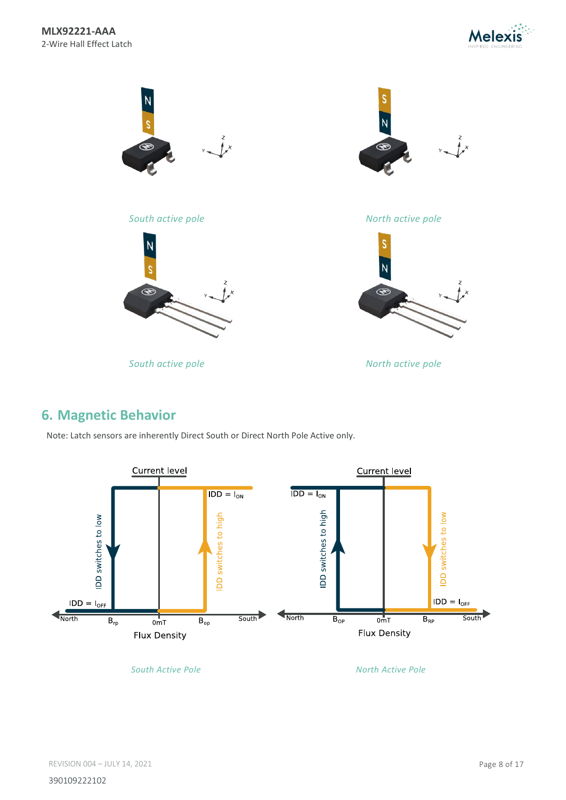





*South active pole North active pole*

*South active pole North active pole*



### <span id="page-7-0"></span>**6. Magnetic Behavior**

Note: Latch sensors are inherently Direct South or Direct North Pole Active only.



*South Active Pole North Active Pole*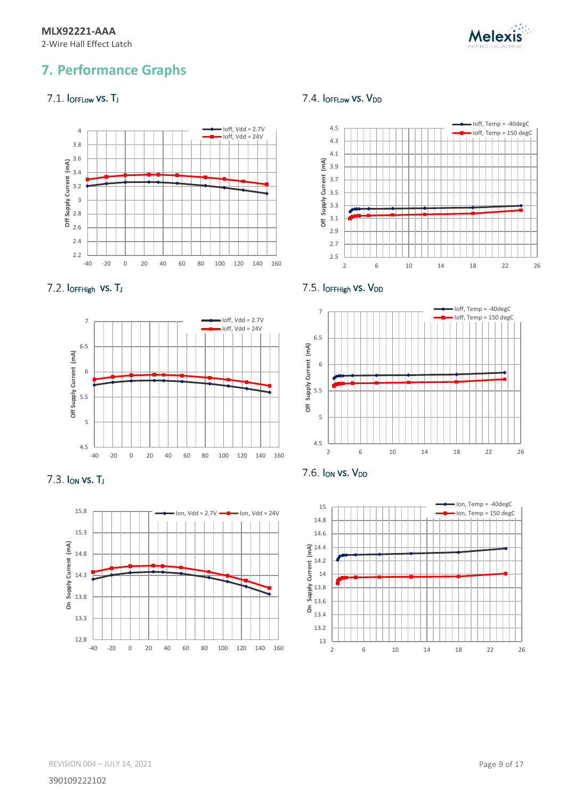

## <span id="page-8-0"></span>**7. Performance Graphs**

#### <span id="page-8-1"></span>7.1. IOFFLow VS. TJ



<span id="page-8-2"></span>



<span id="page-8-3"></span>



#### <span id="page-8-4"></span>7.4. IOFFLow VS. VDD



<span id="page-8-5"></span>



<span id="page-8-6"></span>

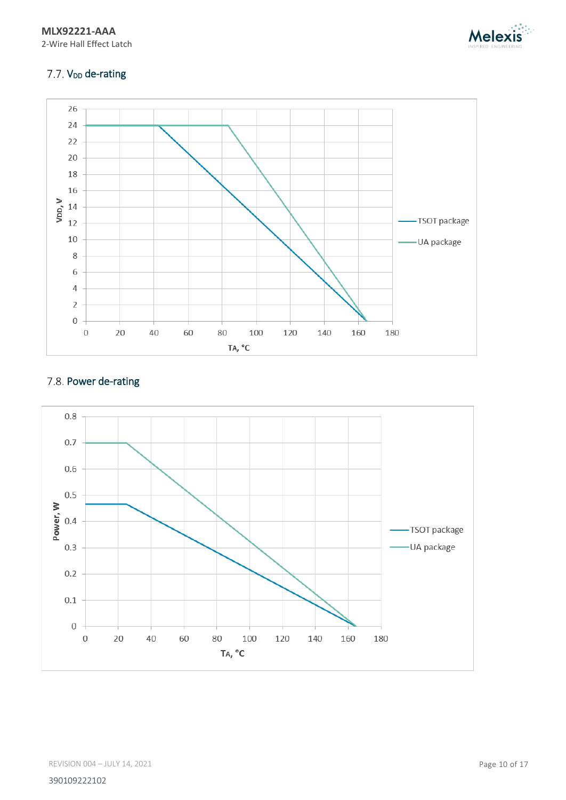



#### <span id="page-9-0"></span>7.7. V<sub>DD</sub> de-rating



#### <span id="page-9-1"></span>7.8. Power de-rating

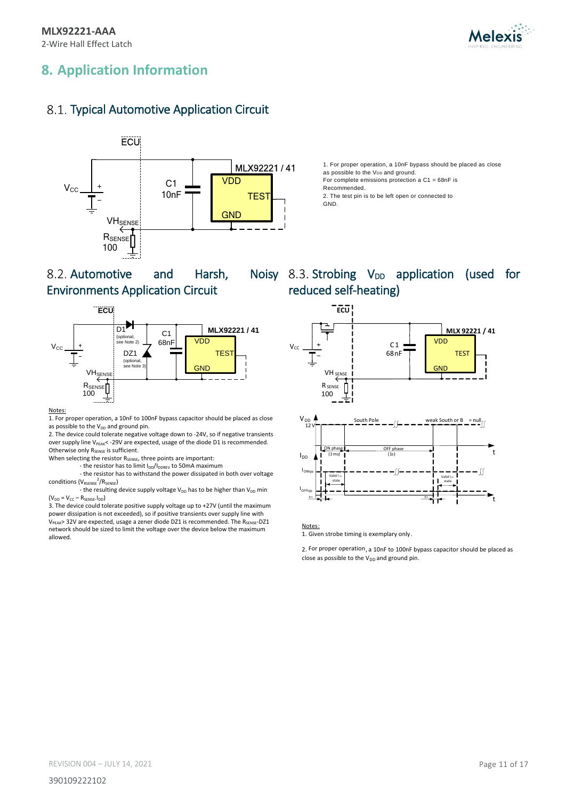

## <span id="page-10-0"></span>**8. Application Information**

### <span id="page-10-1"></span>8.1. Typical Automotive Application Circuit



<span id="page-10-2"></span>8.2. Automotive and Harsh, Environments Application Circuit



#### Notes:

1. For proper operation, a 10nF to 100nF bypass capacitor should be placed as close as possible to the  $V_{DD}$  and ground pin.

2. The device could tolerate negative voltage down to -24V, so if negative transients over supply line V<sub>PEAK</sub>< -29V are expected, usage of the diode D1 is recommended. Otherwise only R<sub>SENSE</sub> is sufficient.

When selecting the resistor R<sub>SENSE</sub>, three points are important:

- the resistor has to limit  $I_{DD}/I_{DDREV}$  to 50mA maximum

- the resistor has to withstand the power dissipated in both over voltage conditions (V<sub>RSENSE</sub><sup>2</sup>/R<sub>SENSE</sub>)

- the resulting device supply voltage  $V_{DD}$  has to be higher than  $V_{DD}$  min  $(V_{DD} = V_{CC} - R_{SENSE}.I_{DD})$ 

3. The device could tolerate positive supply voltage up to +27V (until the maximum power dissipation is not exceeded), so if positive transients over supply line with V<sub>PEAK</sub>> 32V are expected, usage a zener diode DZ1 is recommended. The R<sub>SENSE</sub>-DZ1 network should be sized to limit the voltage over the device below the maximum allowed.

### Noisy 8.3. Strobing  $V_{DD}$  application (used for reduced self-heating)

1. For proper operation, a 10nF bypass should be placed as close

as possible to the V<sub>DD</sub> and ground.

Recommended.

GND.

For complete emissions protection a C1 = 68nF is

2. The test pin is to be left open or connected to

<span id="page-10-3"></span>

Notes:

1. Given strobe timing is exemplary only.

2. For proper operation, a 10nF to 100nF bypass capacitor should be placed as close as possible to the  $V_{DD}$  and ground pin.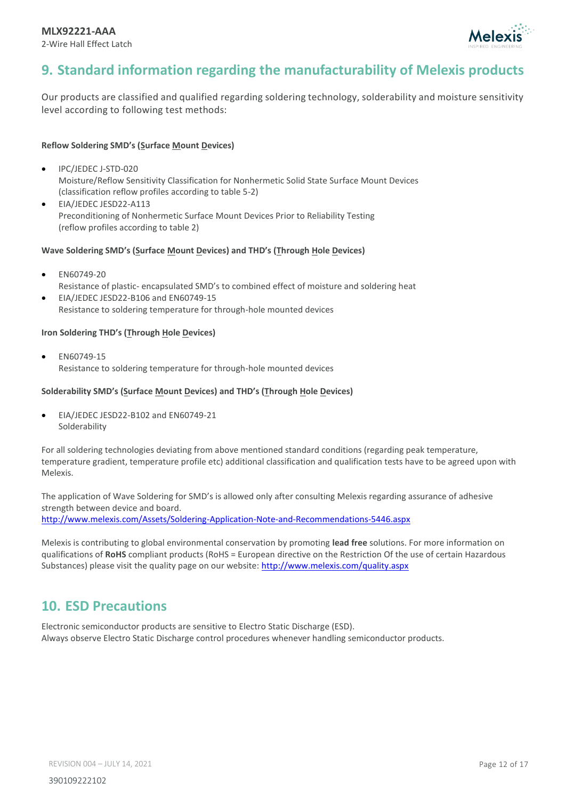

### <span id="page-11-0"></span>**9. Standard information regarding the manufacturability of Melexis products**

Our products are classified and qualified regarding soldering technology, solderability and moisture sensitivity level according to following test methods:

#### **Reflow Soldering SMD's (Surface Mount Devices)**

- IPC/JEDEC J-STD-020 Moisture/Reflow Sensitivity Classification for Nonhermetic Solid State Surface Mount Devices (classification reflow profiles according to table 5-2)
- EIA/JEDEC JESD22-A113 Preconditioning of Nonhermetic Surface Mount Devices Prior to Reliability Testing (reflow profiles according to table 2)

#### **Wave Soldering SMD's (Surface Mount Devices) and THD's (Through Hole Devices)**

- EN60749-20 Resistance of plastic- encapsulated SMD's to combined effect of moisture and soldering heat
- EIA/JEDEC JESD22-B106 and EN60749-15 Resistance to soldering temperature for through-hole mounted devices

#### **Iron Soldering THD's (Through Hole Devices)**

• EN60749-15 Resistance to soldering temperature for through-hole mounted devices

#### **Solderability SMD's (Surface Mount Devices) and THD's (Through Hole Devices)**

• EIA/JEDEC JESD22-B102 and EN60749-21 Solderability

For all soldering technologies deviating from above mentioned standard conditions (regarding peak temperature, temperature gradient, temperature profile etc) additional classification and qualification tests have to be agreed upon with Melexis.

The application of Wave Soldering for SMD's is allowed only after consulting Melexis regarding assurance of adhesive strength between device and board. <http://www.melexis.com/Assets/Soldering-Application-Note-and-Recommendations-5446.aspx>

Melexis is contributing to global environmental conservation by promoting **lead free** solutions. For more information on qualifications of **RoHS** compliant products (RoHS = European directive on the Restriction Of the use of certain Hazardous Substances) please visit the quality page on our website:<http://www.melexis.com/quality.aspx>

#### <span id="page-11-1"></span>**10. ESD Precautions**

Electronic semiconductor products are sensitive to Electro Static Discharge (ESD). Always observe Electro Static Discharge control procedures whenever handling semiconductor products.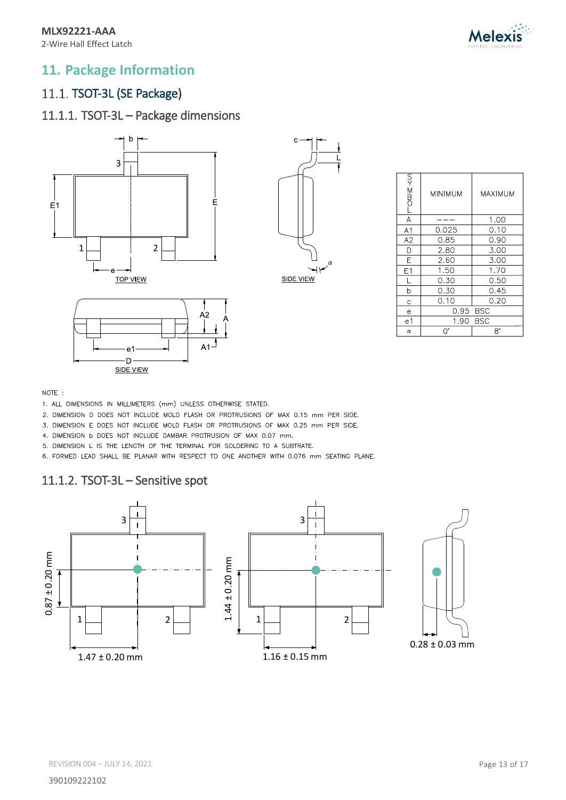

### <span id="page-12-0"></span>**11. Package Information**

### <span id="page-12-1"></span>11.1. TSOT-3L (SE Package)

### 11.1.1. TSOT-3L – Package dimensions





| <b>LOMS-KN</b> | <b>MINIMUM</b> | MAXIMUM    |
|----------------|----------------|------------|
| A              |                | 1.00       |
| A <sub>1</sub> | 0.025          | 0.10       |
| A2             | 0.85           | 0.90       |
| D              | 2.80           | 3.00       |
| E              | 2.60           | 3.00       |
| E1             | 1.50           | 1.70       |
| L              | 0.30           | 0.50       |
| b              | 0.30           | 0.45       |
| Ċ              | 0.10           | 0.20       |
| e              | 0.95           | <b>BSC</b> |
| e1             | 1.90           | <b>BSC</b> |
| α              | U.             | 8°         |



1. ALL DIMENSIONS IN MILLIMETERS (mm) UNLESS OTHERWISE STATED.

2. DIMENSION D DOES NOT INCLUDE MOLD FLASH OR PROTRUSIONS OF MAX 0.15 mm PER SIDE.

 $A<sub>1</sub>$ 

3. DIMENSION E DOES NOT INCLUDE MOLD FLASH OR PROTRUSIONS OF MAX 0.25 mm PER SIDE.

4. DIMENSION b DOES NOT INCLUDE DAMBAR PROTRUSION OF MAX 0.07 mm.

5. DIMENSION L IS THE LENGTH OF THE TERMINAL FOR SOLDERING TO A SUBTRATE.

6. FORMED LEAD SHALL BE PLANAR WITH RESPECT TO ONE ANOTHER WITH 0.076 mm SEATING PLANE.

#### 11.1.2. TSOT-3L – Sensitive spot

e1  $-D$  -**SIDE VIEW** 

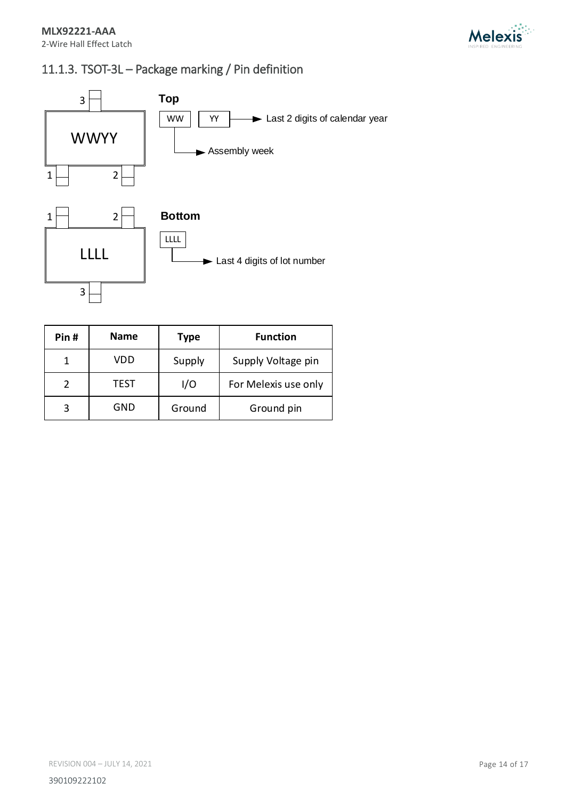

### 11.1.3. TSOT-3L – Package marking / Pin definition



| Pin# | <b>Name</b> | <b>Type</b> | <b>Function</b>      |
|------|-------------|-------------|----------------------|
|      | VDD         | Supply      | Supply Voltage pin   |
| 2    | TEST        | I/O         | For Melexis use only |
|      | GND         | Ground      | Ground pin           |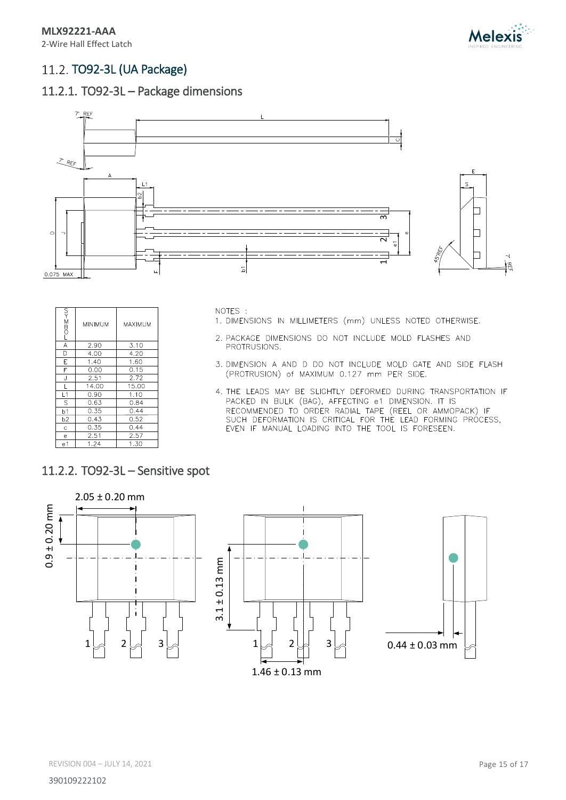

### <span id="page-14-0"></span>11.2. TO92-3L (UA Package)

#### 11.2.1. TO92-3L – Package dimensions



| $T = 200$      | MINIMUM | MAXIMUM |
|----------------|---------|---------|
| A              | 2.90    | 3.10    |
| D              | 4.00    | 4.20    |
| E              | 1.40    | 1.60    |
| F              | 0.00    | 0.15    |
| J              | 2.51    | 2.72    |
| L              | 14.00   | 15.00   |
| L1             | 0.90    | 1.10    |
| S              | 0.63    | 0.84    |
| b1             | 0.35    | 0.44    |
| b <sub>2</sub> | 0.43    | 0.52    |
| C              | 0.35    | 0.44    |
| e              | 2.51    | 2.57    |
| e1             | 1.24    | 1.30    |

NOTES :

- 1. DIMENSIONS IN MILLIMETERS (mm) UNLESS NOTED OTHERWISE.
- 2. PACKAGE DIMENSIONS DO NOT INCLUDE MOLD FLASHES AND PROTRUSIONS.
- 3. DIMENSION A AND D DO NOT INCLUDE MOLD GATE AND SIDE FLASH (PROTRUSION) of MAXIMUM 0.127 mm PER SIDE.
- 4. THE LEADS MAY BE SLIGHTLY DEFORMED DURING TRANSPORTATION IF PACKED IN BULK (BAG), AFFECTING e1 DIMENSION. IT IS RECOMMENDED TO ORDER RADIAL TAPE (REEL OR AMMOPACK) IF<br>SUCH DEFORMATION IS CRITICAL FOR THE LEAD FORMING PROCESS,<br>EVEN IF MANUAL LOADING INTO THE TOOL IS FORESEEN.

#### 11.2.2. TO92-3L – Sensitive spot

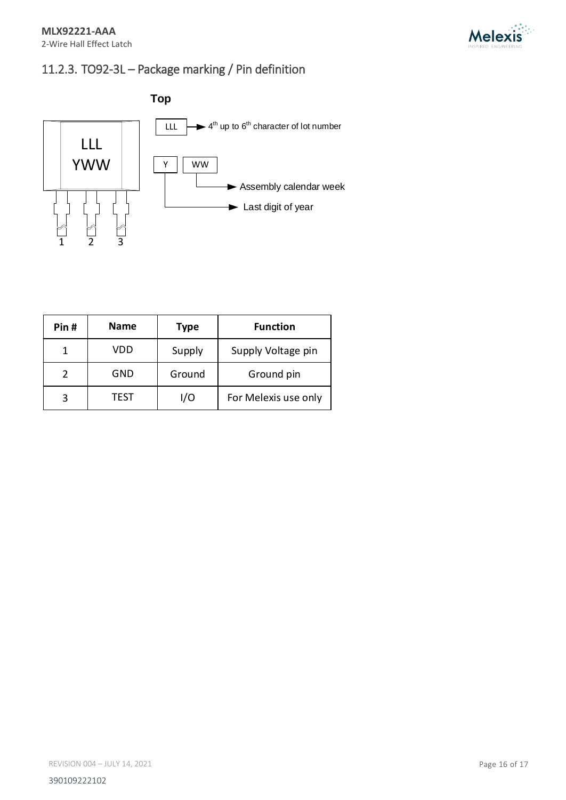

## 11.2.3. TO92-3L – Package marking / Pin definition



| Pin# | <b>Name</b> | <b>Type</b> | <b>Function</b>      |
|------|-------------|-------------|----------------------|
|      | VDD         | Supply      | Supply Voltage pin   |
| 2    | GND         | Ground      | Ground pin           |
| 3    | TEST        | I/O         | For Melexis use only |